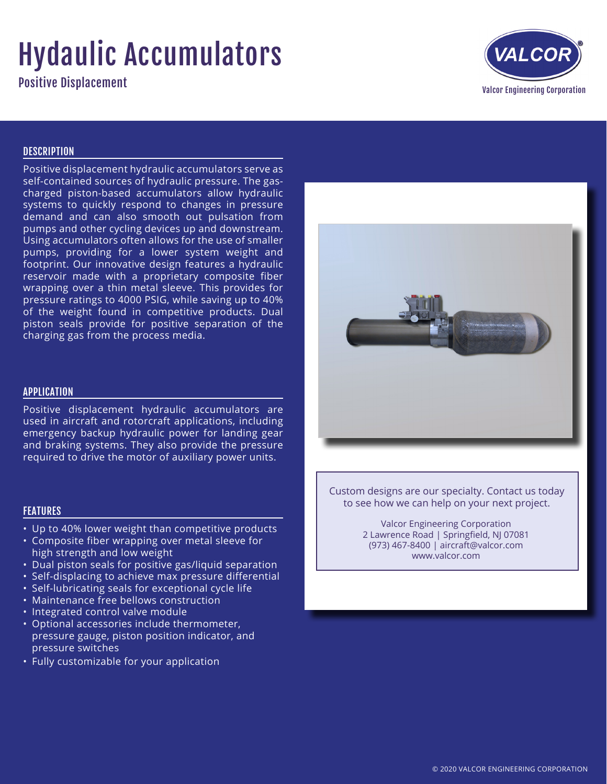## Hydaulic Accumulators

Positive Displacement



## **DESCRIPTION**

Positive displacement hydraulic accumulators serve as self-contained sources of hydraulic pressure. The gascharged piston-based accumulators allow hydraulic systems to quickly respond to changes in pressure demand and can also smooth out pulsation from pumps and other cycling devices up and downstream. Using accumulators often allows for the use of smaller pumps, providing for a lower system weight and footprint. Our innovative design features a hydraulic reservoir made with a proprietary composite fiber wrapping over a thin metal sleeve. This provides for pressure ratings to 4000 PSIG, while saving up to 40% of the weight found in competitive products. Dual piston seals provide for positive separation of the charging gas from the process media.

## APPLICATION

Positive displacement hydraulic accumulators are used in aircraft and rotorcraft applications, including emergency backup hydraulic power for landing gear and braking systems. They also provide the pressure required to drive the motor of auxiliary power units.

## FEATURES

- Up to 40% lower weight than competitive products
- Composite fiber wrapping over metal sleeve for high strength and low weight
- Dual piston seals for positive gas/liquid separation
- Self-displacing to achieve max pressure differential
- Self-lubricating seals for exceptional cycle life
- Maintenance free bellows construction
- Integrated control valve module
- Optional accessories include thermometer, pressure gauge, piston position indicator, and pressure switches
- Fully customizable for your application



Custom designs are our specialty. Contact us today to see how we can help on your next project.

> Valcor Engineering Corporation 2 Lawrence Road | Springfield, NJ 07081 (973) 467-8400 | aircraft@valcor.com www.valcor.com